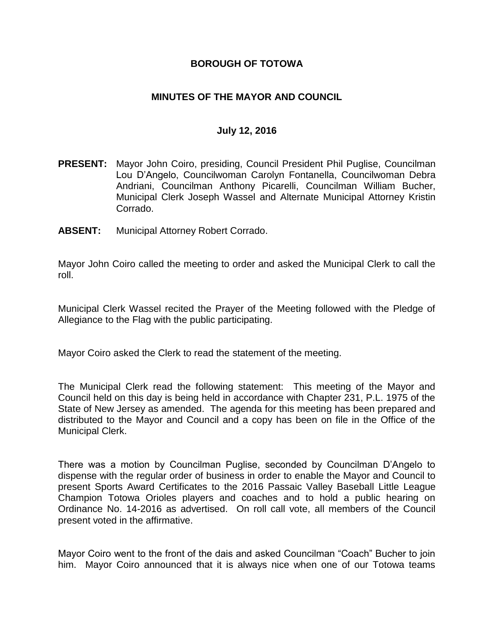### **BOROUGH OF TOTOWA**

### **MINUTES OF THE MAYOR AND COUNCIL**

#### **July 12, 2016**

- **PRESENT:** Mayor John Coiro, presiding, Council President Phil Puglise, Councilman Lou D'Angelo, Councilwoman Carolyn Fontanella, Councilwoman Debra Andriani, Councilman Anthony Picarelli, Councilman William Bucher, Municipal Clerk Joseph Wassel and Alternate Municipal Attorney Kristin Corrado.
- **ABSENT:** Municipal Attorney Robert Corrado.

Mayor John Coiro called the meeting to order and asked the Municipal Clerk to call the roll.

Municipal Clerk Wassel recited the Prayer of the Meeting followed with the Pledge of Allegiance to the Flag with the public participating.

Mayor Coiro asked the Clerk to read the statement of the meeting.

The Municipal Clerk read the following statement: This meeting of the Mayor and Council held on this day is being held in accordance with Chapter 231, P.L. 1975 of the State of New Jersey as amended. The agenda for this meeting has been prepared and distributed to the Mayor and Council and a copy has been on file in the Office of the Municipal Clerk.

There was a motion by Councilman Puglise, seconded by Councilman D'Angelo to dispense with the regular order of business in order to enable the Mayor and Council to present Sports Award Certificates to the 2016 Passaic Valley Baseball Little League Champion Totowa Orioles players and coaches and to hold a public hearing on Ordinance No. 14-2016 as advertised. On roll call vote, all members of the Council present voted in the affirmative.

Mayor Coiro went to the front of the dais and asked Councilman "Coach" Bucher to join him. Mayor Coiro announced that it is always nice when one of our Totowa teams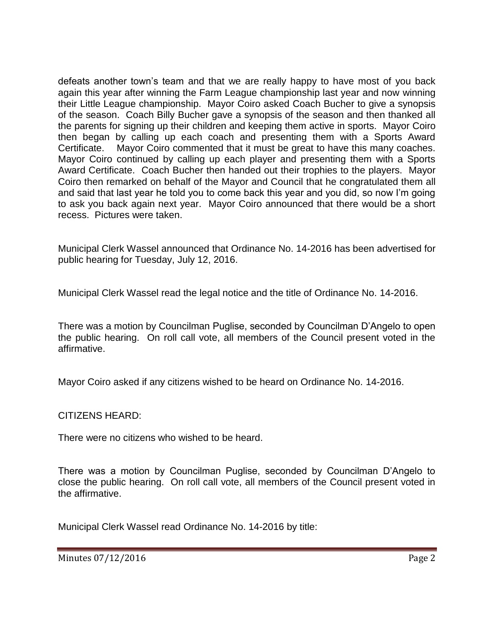defeats another town's team and that we are really happy to have most of you back again this year after winning the Farm League championship last year and now winning their Little League championship. Mayor Coiro asked Coach Bucher to give a synopsis of the season. Coach Billy Bucher gave a synopsis of the season and then thanked all the parents for signing up their children and keeping them active in sports. Mayor Coiro then began by calling up each coach and presenting them with a Sports Award Certificate. Mayor Coiro commented that it must be great to have this many coaches. Mayor Coiro continued by calling up each player and presenting them with a Sports Award Certificate. Coach Bucher then handed out their trophies to the players. Mayor Coiro then remarked on behalf of the Mayor and Council that he congratulated them all and said that last year he told you to come back this year and you did, so now I'm going to ask you back again next year. Mayor Coiro announced that there would be a short recess. Pictures were taken.

Municipal Clerk Wassel announced that Ordinance No. 14-2016 has been advertised for public hearing for Tuesday, July 12, 2016.

Municipal Clerk Wassel read the legal notice and the title of Ordinance No. 14-2016.

There was a motion by Councilman Puglise, seconded by Councilman D'Angelo to open the public hearing. On roll call vote, all members of the Council present voted in the affirmative.

Mayor Coiro asked if any citizens wished to be heard on Ordinance No. 14-2016.

CITIZENS HEARD:

There were no citizens who wished to be heard.

There was a motion by Councilman Puglise, seconded by Councilman D'Angelo to close the public hearing. On roll call vote, all members of the Council present voted in the affirmative.

Municipal Clerk Wassel read Ordinance No. 14-2016 by title: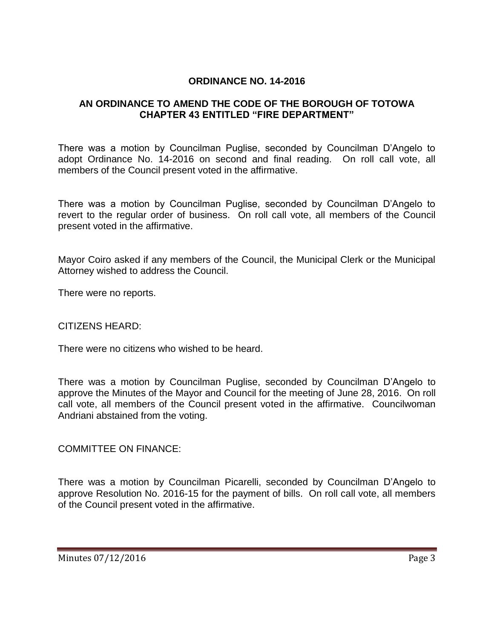### **ORDINANCE NO. 14-2016**

# **AN ORDINANCE TO AMEND THE CODE OF THE BOROUGH OF TOTOWA CHAPTER 43 ENTITLED "FIRE DEPARTMENT"**

There was a motion by Councilman Puglise, seconded by Councilman D'Angelo to adopt Ordinance No. 14-2016 on second and final reading. On roll call vote, all members of the Council present voted in the affirmative.

There was a motion by Councilman Puglise, seconded by Councilman D'Angelo to revert to the regular order of business. On roll call vote, all members of the Council present voted in the affirmative.

Mayor Coiro asked if any members of the Council, the Municipal Clerk or the Municipal Attorney wished to address the Council.

There were no reports.

#### CITIZENS HEARD:

There were no citizens who wished to be heard.

There was a motion by Councilman Puglise, seconded by Councilman D'Angelo to approve the Minutes of the Mayor and Council for the meeting of June 28, 2016. On roll call vote, all members of the Council present voted in the affirmative. Councilwoman Andriani abstained from the voting.

COMMITTEE ON FINANCE:

There was a motion by Councilman Picarelli, seconded by Councilman D'Angelo to approve Resolution No. 2016-15 for the payment of bills. On roll call vote, all members of the Council present voted in the affirmative.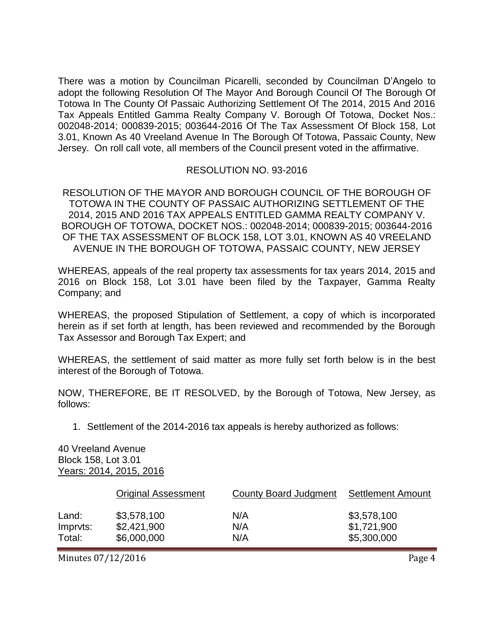There was a motion by Councilman Picarelli, seconded by Councilman D'Angelo to adopt the following Resolution Of The Mayor And Borough Council Of The Borough Of Totowa In The County Of Passaic Authorizing Settlement Of The 2014, 2015 And 2016 Tax Appeals Entitled Gamma Realty Company V. Borough Of Totowa, Docket Nos.: 002048-2014; 000839-2015; 003644-2016 Of The Tax Assessment Of Block 158, Lot 3.01, Known As 40 Vreeland Avenue In The Borough Of Totowa, Passaic County, New Jersey. On roll call vote, all members of the Council present voted in the affirmative.

#### RESOLUTION NO. 93-2016

RESOLUTION OF THE MAYOR AND BOROUGH COUNCIL OF THE BOROUGH OF TOTOWA IN THE COUNTY OF PASSAIC AUTHORIZING SETTLEMENT OF THE 2014, 2015 AND 2016 TAX APPEALS ENTITLED GAMMA REALTY COMPANY V. BOROUGH OF TOTOWA, DOCKET NOS.: 002048-2014; 000839-2015; 003644-2016 OF THE TAX ASSESSMENT OF BLOCK 158, LOT 3.01, KNOWN AS 40 VREELAND AVENUE IN THE BOROUGH OF TOTOWA, PASSAIC COUNTY, NEW JERSEY

WHEREAS, appeals of the real property tax assessments for tax years 2014, 2015 and 2016 on Block 158, Lot 3.01 have been filed by the Taxpayer, Gamma Realty Company; and

WHEREAS, the proposed Stipulation of Settlement, a copy of which is incorporated herein as if set forth at length, has been reviewed and recommended by the Borough Tax Assessor and Borough Tax Expert; and

WHEREAS, the settlement of said matter as more fully set forth below is in the best interest of the Borough of Totowa.

NOW, THEREFORE, BE IT RESOLVED, by the Borough of Totowa, New Jersey, as follows:

1. Settlement of the 2014-2016 tax appeals is hereby authorized as follows:

40 Vreeland Avenue Block 158, Lot 3.01 Years: 2014, 2015, 2016

|          | <b>Original Assessment</b> | County Board Judgment | <b>Settlement Amount</b> |
|----------|----------------------------|-----------------------|--------------------------|
| Land:    | \$3,578,100                | N/A                   | \$3,578,100              |
| Impryts: | \$2,421,900                | N/A                   | \$1,721,900              |
| Total:   | \$6,000,000                | N/A                   | \$5,300,000              |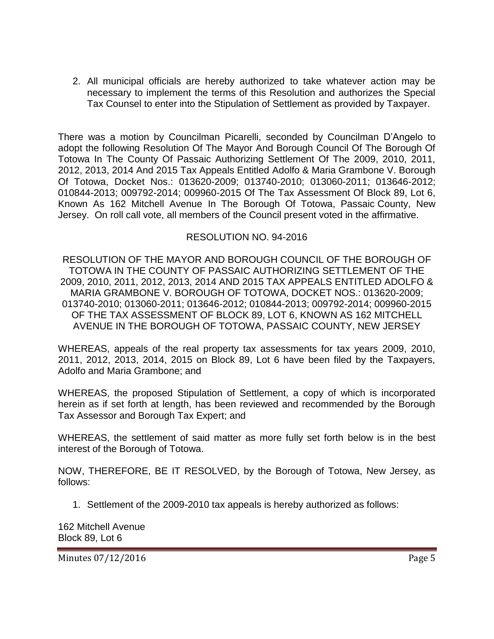2. All municipal officials are hereby authorized to take whatever action may be necessary to implement the terms of this Resolution and authorizes the Special Tax Counsel to enter into the Stipulation of Settlement as provided by Taxpayer.

There was a motion by Councilman Picarelli, seconded by Councilman D'Angelo to adopt the following Resolution Of The Mayor And Borough Council Of The Borough Of Totowa In The County Of Passaic Authorizing Settlement Of The 2009, 2010, 2011, 2012, 2013, 2014 And 2015 Tax Appeals Entitled Adolfo & Maria Grambone V. Borough Of Totowa, Docket Nos.: 013620-2009; 013740-2010; 013060-2011; 013646-2012; 010844-2013; 009792-2014; 009960-2015 Of The Tax Assessment Of Block 89, Lot 6, Known As 162 Mitchell Avenue In The Borough Of Totowa, Passaic County, New Jersey. On roll call vote, all members of the Council present voted in the affirmative.

### RESOLUTION NO. 94-2016

RESOLUTION OF THE MAYOR AND BOROUGH COUNCIL OF THE BOROUGH OF TOTOWA IN THE COUNTY OF PASSAIC AUTHORIZING SETTLEMENT OF THE 2009, 2010, 2011, 2012, 2013, 2014 AND 2015 TAX APPEALS ENTITLED ADOLFO & MARIA GRAMBONE V. BOROUGH OF TOTOWA, DOCKET NOS.: 013620-2009; 013740-2010; 013060-2011; 013646-2012; 010844-2013; 009792-2014; 009960-2015 OF THE TAX ASSESSMENT OF BLOCK 89, LOT 6, KNOWN AS 162 MITCHELL AVENUE IN THE BOROUGH OF TOTOWA, PASSAIC COUNTY, NEW JERSEY

WHEREAS, appeals of the real property tax assessments for tax years 2009, 2010, 2011, 2012, 2013, 2014, 2015 on Block 89, Lot 6 have been filed by the Taxpayers, Adolfo and Maria Grambone; and

WHEREAS, the proposed Stipulation of Settlement, a copy of which is incorporated herein as if set forth at length, has been reviewed and recommended by the Borough Tax Assessor and Borough Tax Expert; and

WHEREAS, the settlement of said matter as more fully set forth below is in the best interest of the Borough of Totowa.

NOW, THEREFORE, BE IT RESOLVED, by the Borough of Totowa, New Jersey, as follows:

1. Settlement of the 2009-2010 tax appeals is hereby authorized as follows:

162 Mitchell Avenue Block 89, Lot 6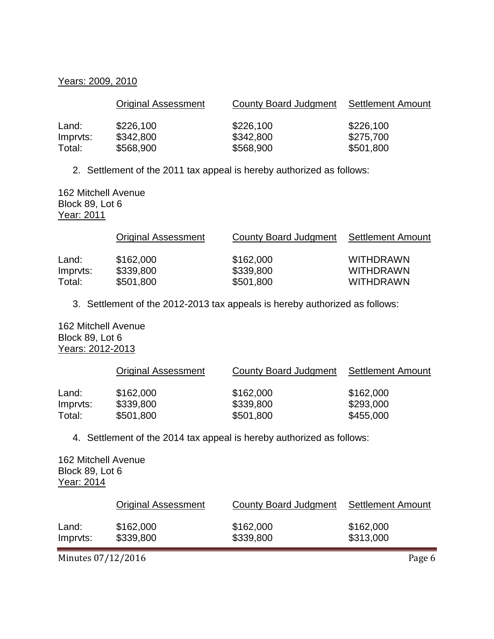#### Years: 2009, 2010

|          | <b>Original Assessment</b> | County Board Judgment | Settlement Amount |
|----------|----------------------------|-----------------------|-------------------|
| Land:    | \$226,100                  | \$226,100             | \$226,100         |
| Impryts: | \$342,800                  | \$342,800             | \$275,700         |
| Total:   | \$568,900                  | \$568,900             | \$501,800         |

2. Settlement of the 2011 tax appeal is hereby authorized as follows:

162 Mitchell Avenue Block 89, Lot 6 Year: 2011

|                   | <b>Original Assessment</b> | County Board Judgment  | Settlement Amount                    |
|-------------------|----------------------------|------------------------|--------------------------------------|
| Land:<br>Imprvts: | \$162,000<br>\$339,800     | \$162,000<br>\$339,800 | <b>WITHDRAWN</b><br><b>WITHDRAWN</b> |
| Total:            | \$501,800                  | \$501,800              | <b>WITHDRAWN</b>                     |

3. Settlement of the 2012-2013 tax appeals is hereby authorized as follows:

162 Mitchell Avenue Block 89, Lot 6 Years: 2012-2013

|          | <b>Original Assessment</b> | County Board Judgment | <b>Settlement Amount</b> |
|----------|----------------------------|-----------------------|--------------------------|
| Land:    | \$162,000                  | \$162,000             | \$162,000                |
| Impryts: | \$339,800                  | \$339,800             | \$293,000                |
| Total:   | \$501,800                  | \$501,800             | \$455,000                |

4. Settlement of the 2014 tax appeal is hereby authorized as follows:

162 Mitchell Avenue Block 89, Lot 6 Year: 2014

|          | Original Assessment | <b>County Board Judgment</b> | Settlement Amount |
|----------|---------------------|------------------------------|-------------------|
| Land:    | \$162,000           | \$162,000                    | \$162,000         |
| Imprvts: | \$339,800           | \$339,800                    | \$313,000         |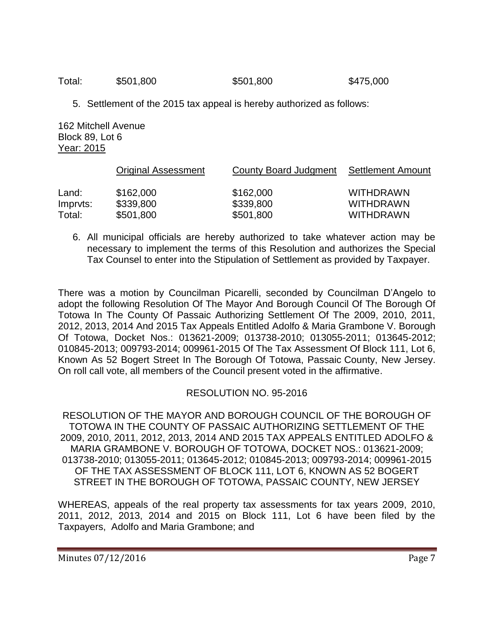Total: \$501,800 \$501,800 \$475,000

5. Settlement of the 2015 tax appeal is hereby authorized as follows:

162 Mitchell Avenue Block 89, Lot 6 Year: 2015

|          | <b>Original Assessment</b> | County Board Judgment | <b>Settlement Amount</b> |
|----------|----------------------------|-----------------------|--------------------------|
| Land:    | \$162,000                  | \$162,000             | <b>WITHDRAWN</b>         |
| Impryts: | \$339,800                  | \$339,800             | <b>WITHDRAWN</b>         |
| Total:   | \$501,800                  | \$501,800             | <b>WITHDRAWN</b>         |

6. All municipal officials are hereby authorized to take whatever action may be necessary to implement the terms of this Resolution and authorizes the Special Tax Counsel to enter into the Stipulation of Settlement as provided by Taxpayer.

There was a motion by Councilman Picarelli, seconded by Councilman D'Angelo to adopt the following Resolution Of The Mayor And Borough Council Of The Borough Of Totowa In The County Of Passaic Authorizing Settlement Of The 2009, 2010, 2011, 2012, 2013, 2014 And 2015 Tax Appeals Entitled Adolfo & Maria Grambone V. Borough Of Totowa, Docket Nos.: 013621-2009; 013738-2010; 013055-2011; 013645-2012; 010845-2013; 009793-2014; 009961-2015 Of The Tax Assessment Of Block 111, Lot 6, Known As 52 Bogert Street In The Borough Of Totowa, Passaic County, New Jersey. On roll call vote, all members of the Council present voted in the affirmative.

# RESOLUTION NO. 95-2016

RESOLUTION OF THE MAYOR AND BOROUGH COUNCIL OF THE BOROUGH OF TOTOWA IN THE COUNTY OF PASSAIC AUTHORIZING SETTLEMENT OF THE 2009, 2010, 2011, 2012, 2013, 2014 AND 2015 TAX APPEALS ENTITLED ADOLFO & MARIA GRAMBONE V. BOROUGH OF TOTOWA, DOCKET NOS.: 013621-2009; 013738-2010; 013055-2011; 013645-2012; 010845-2013; 009793-2014; 009961-2015 OF THE TAX ASSESSMENT OF BLOCK 111, LOT 6, KNOWN AS 52 BOGERT STREET IN THE BOROUGH OF TOTOWA, PASSAIC COUNTY, NEW JERSEY

WHEREAS, appeals of the real property tax assessments for tax years 2009, 2010, 2011, 2012, 2013, 2014 and 2015 on Block 111, Lot 6 have been filed by the Taxpayers, Adolfo and Maria Grambone; and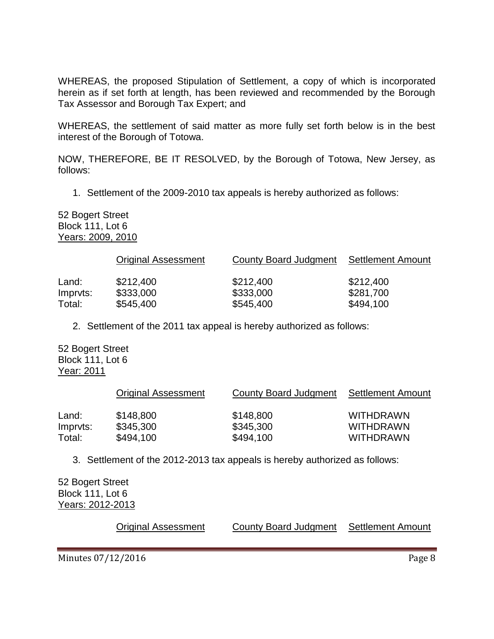WHEREAS, the proposed Stipulation of Settlement, a copy of which is incorporated herein as if set forth at length, has been reviewed and recommended by the Borough Tax Assessor and Borough Tax Expert; and

WHEREAS, the settlement of said matter as more fully set forth below is in the best interest of the Borough of Totowa.

NOW, THEREFORE, BE IT RESOLVED, by the Borough of Totowa, New Jersey, as follows:

1. Settlement of the 2009-2010 tax appeals is hereby authorized as follows:

52 Bogert Street Block 111, Lot 6 Years: 2009, 2010

|          | <b>Original Assessment</b> | County Board Judgment | <b>Settlement Amount</b> |
|----------|----------------------------|-----------------------|--------------------------|
| Land:    | \$212,400                  | \$212,400             | \$212,400                |
| Imprvts: | \$333,000                  | \$333,000             | \$281,700                |
| Total:   | \$545,400                  | \$545,400             | \$494,100                |

2. Settlement of the 2011 tax appeal is hereby authorized as follows:

52 Bogert Street Block 111, Lot 6 Year: 2011

|                   | <b>Original Assessment</b> | County Board Judgment  | Settlement Amount                    |
|-------------------|----------------------------|------------------------|--------------------------------------|
| Land:<br>Imprvts: | \$148,800<br>\$345,300     | \$148,800<br>\$345,300 | <b>WITHDRAWN</b><br><b>WITHDRAWN</b> |
| Total:            | \$494,100                  | \$494,100              | <b>WITHDRAWN</b>                     |

3. Settlement of the 2012-2013 tax appeals is hereby authorized as follows:

52 Bogert Street Block 111, Lot 6 Years: 2012-2013

**Original Assessment County Board Judgment Settlement Amount**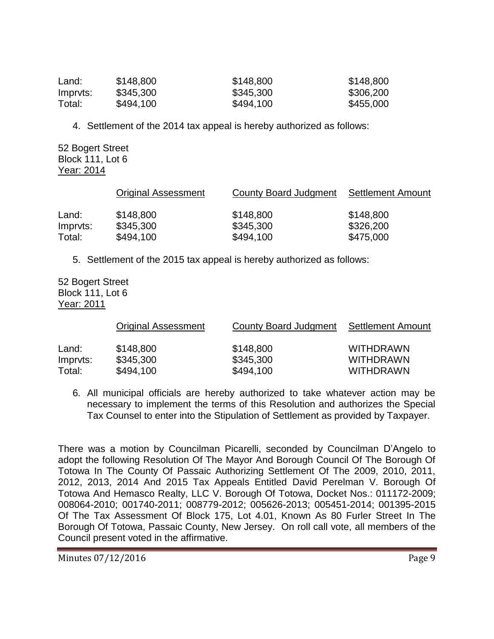| Land:    | \$148,800 | \$148,800 | \$148,800 |
|----------|-----------|-----------|-----------|
| Impryts: | \$345,300 | \$345,300 | \$306,200 |
| Total:   | \$494,100 | \$494,100 | \$455,000 |

4. Settlement of the 2014 tax appeal is hereby authorized as follows:

52 Bogert Street Block 111, Lot 6 Year: 2014

|          | <b>Original Assessment</b> | County Board Judgment | <b>Settlement Amount</b> |
|----------|----------------------------|-----------------------|--------------------------|
| Land:    | \$148,800                  | \$148,800             | \$148,800                |
| Impryts: | \$345,300                  | \$345,300             | \$326,200                |
| Total:   | \$494,100                  | \$494,100             | \$475,000                |

5. Settlement of the 2015 tax appeal is hereby authorized as follows:

52 Bogert Street Block 111, Lot 6 Year: 2011

|          | <b>Original Assessment</b> | County Board Judgment | <b>Settlement Amount</b> |
|----------|----------------------------|-----------------------|--------------------------|
| Land:    | \$148,800                  | \$148,800             | <b>WITHDRAWN</b>         |
| Impryts: | \$345,300                  | \$345,300             | <b>WITHDRAWN</b>         |
| Total:   | \$494,100                  | \$494,100             | <b>WITHDRAWN</b>         |

6. All municipal officials are hereby authorized to take whatever action may be necessary to implement the terms of this Resolution and authorizes the Special Tax Counsel to enter into the Stipulation of Settlement as provided by Taxpayer.

There was a motion by Councilman Picarelli, seconded by Councilman D'Angelo to adopt the following Resolution Of The Mayor And Borough Council Of The Borough Of Totowa In The County Of Passaic Authorizing Settlement Of The 2009, 2010, 2011, 2012, 2013, 2014 And 2015 Tax Appeals Entitled David Perelman V. Borough Of Totowa And Hemasco Realty, LLC V. Borough Of Totowa, Docket Nos.: 011172-2009; 008064-2010; 001740-2011; 008779-2012; 005626-2013; 005451-2014; 001395-2015 Of The Tax Assessment Of Block 175, Lot 4.01, Known As 80 Furler Street In The Borough Of Totowa, Passaic County, New Jersey. On roll call vote, all members of the Council present voted in the affirmative.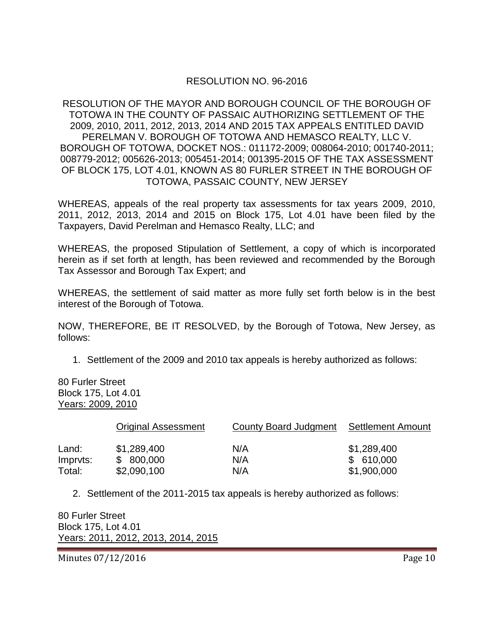# RESOLUTION NO. 96-2016

RESOLUTION OF THE MAYOR AND BOROUGH COUNCIL OF THE BOROUGH OF TOTOWA IN THE COUNTY OF PASSAIC AUTHORIZING SETTLEMENT OF THE 2009, 2010, 2011, 2012, 2013, 2014 AND 2015 TAX APPEALS ENTITLED DAVID PERELMAN V. BOROUGH OF TOTOWA AND HEMASCO REALTY, LLC V. BOROUGH OF TOTOWA, DOCKET NOS.: 011172-2009; 008064-2010; 001740-2011; 008779-2012; 005626-2013; 005451-2014; 001395-2015 OF THE TAX ASSESSMENT OF BLOCK 175, LOT 4.01, KNOWN AS 80 FURLER STREET IN THE BOROUGH OF TOTOWA, PASSAIC COUNTY, NEW JERSEY

WHEREAS, appeals of the real property tax assessments for tax years 2009, 2010, 2011, 2012, 2013, 2014 and 2015 on Block 175, Lot 4.01 have been filed by the Taxpayers, David Perelman and Hemasco Realty, LLC; and

WHEREAS, the proposed Stipulation of Settlement, a copy of which is incorporated herein as if set forth at length, has been reviewed and recommended by the Borough Tax Assessor and Borough Tax Expert; and

WHEREAS, the settlement of said matter as more fully set forth below is in the best interest of the Borough of Totowa.

NOW, THEREFORE, BE IT RESOLVED, by the Borough of Totowa, New Jersey, as follows:

1. Settlement of the 2009 and 2010 tax appeals is hereby authorized as follows:

80 Furler Street Block 175, Lot 4.01 Years: 2009, 2010

|                   | <b>Original Assessment</b> | County Board Judgment | Settlement Amount        |
|-------------------|----------------------------|-----------------------|--------------------------|
| Land:<br>Impryts: | \$1,289,400<br>\$800,000   | N/A<br>N/A            | \$1,289,400<br>\$610,000 |
| Total:            | \$2,090,100                | N/A                   | \$1,900,000              |

2. Settlement of the 2011-2015 tax appeals is hereby authorized as follows:

80 Furler Street Block 175, Lot 4.01 Years: 2011, 2012, 2013, 2014, 2015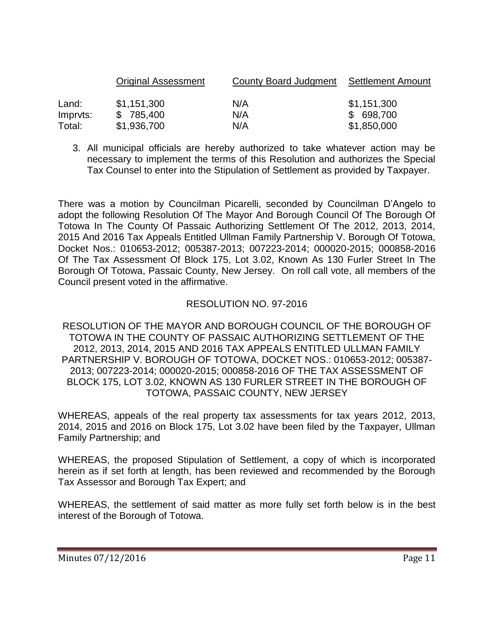|          | <b>Original Assessment</b> | County Board Judgment | Settlement Amount |
|----------|----------------------------|-----------------------|-------------------|
| Land:    | \$1,151,300                | N/A                   | \$1,151,300       |
| Impryts: | \$785,400                  | N/A                   | \$ 698,700        |
| Total:   | \$1,936,700                | N/A                   | \$1,850,000       |

3. All municipal officials are hereby authorized to take whatever action may be necessary to implement the terms of this Resolution and authorizes the Special Tax Counsel to enter into the Stipulation of Settlement as provided by Taxpayer.

There was a motion by Councilman Picarelli, seconded by Councilman D'Angelo to adopt the following Resolution Of The Mayor And Borough Council Of The Borough Of Totowa In The County Of Passaic Authorizing Settlement Of The 2012, 2013, 2014, 2015 And 2016 Tax Appeals Entitled Ullman Family Partnership V. Borough Of Totowa, Docket Nos.: 010653-2012; 005387-2013; 007223-2014; 000020-2015; 000858-2016 Of The Tax Assessment Of Block 175, Lot 3.02, Known As 130 Furler Street In The Borough Of Totowa, Passaic County, New Jersey. On roll call vote, all members of the Council present voted in the affirmative.

### RESOLUTION NO. 97-2016

RESOLUTION OF THE MAYOR AND BOROUGH COUNCIL OF THE BOROUGH OF TOTOWA IN THE COUNTY OF PASSAIC AUTHORIZING SETTLEMENT OF THE 2012, 2013, 2014, 2015 AND 2016 TAX APPEALS ENTITLED ULLMAN FAMILY PARTNERSHIP V. BOROUGH OF TOTOWA, DOCKET NOS.: 010653-2012; 005387- 2013; 007223-2014; 000020-2015; 000858-2016 OF THE TAX ASSESSMENT OF BLOCK 175, LOT 3.02, KNOWN AS 130 FURLER STREET IN THE BOROUGH OF TOTOWA, PASSAIC COUNTY, NEW JERSEY

WHEREAS, appeals of the real property tax assessments for tax years 2012, 2013, 2014, 2015 and 2016 on Block 175, Lot 3.02 have been filed by the Taxpayer, Ullman Family Partnership; and

WHEREAS, the proposed Stipulation of Settlement, a copy of which is incorporated herein as if set forth at length, has been reviewed and recommended by the Borough Tax Assessor and Borough Tax Expert; and

WHEREAS, the settlement of said matter as more fully set forth below is in the best interest of the Borough of Totowa.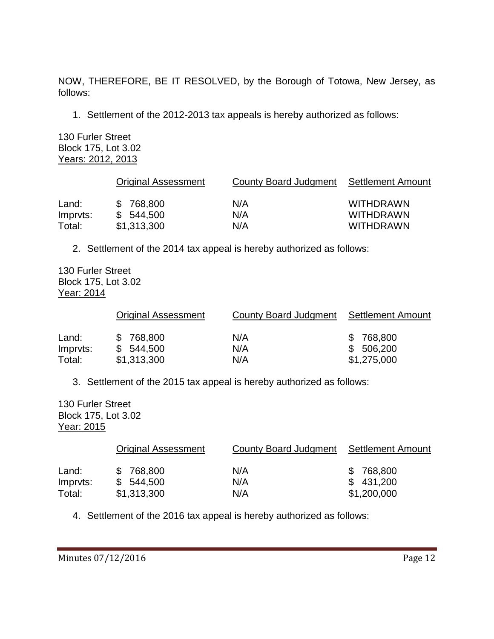NOW, THEREFORE, BE IT RESOLVED, by the Borough of Totowa, New Jersey, as follows:

1. Settlement of the 2012-2013 tax appeals is hereby authorized as follows:

130 Furler Street Block 175, Lot 3.02 Years: 2012, 2013

|                   | <b>Original Assessment</b> | County Board Judgment Settlement Amount |                                      |
|-------------------|----------------------------|-----------------------------------------|--------------------------------------|
| Land:<br>Imprvts: | \$768,800<br>\$544,500     | N/A<br>N/A                              | <b>WITHDRAWN</b><br><b>WITHDRAWN</b> |
| Total:            | \$1,313,300                | N/A                                     | <b>WITHDRAWN</b>                     |

2. Settlement of the 2014 tax appeal is hereby authorized as follows:

130 Furler Street Block 175, Lot 3.02 Year: 2014

|                   | <b>Original Assessment</b> | County Board Judgment Settlement Amount |                        |
|-------------------|----------------------------|-----------------------------------------|------------------------|
| Land:<br>Imprvts: | \$768,800<br>\$544,500     | N/A<br>N/A                              | \$768,800<br>\$506,200 |
| Total:            | \$1,313,300                | N/A                                     | \$1,275,000            |

3. Settlement of the 2015 tax appeal is hereby authorized as follows:

130 Furler Street Block 175, Lot 3.02 Year: 2015

|          | <b>Original Assessment</b> | County Board Judgment | Settlement Amount |
|----------|----------------------------|-----------------------|-------------------|
| Land:    | \$768,800                  | N/A                   | \$768,800         |
| Impryts: | \$544.500                  | N/A                   | \$431,200         |
| Total:   | \$1,313,300                | N/A                   | \$1,200,000       |

4. Settlement of the 2016 tax appeal is hereby authorized as follows: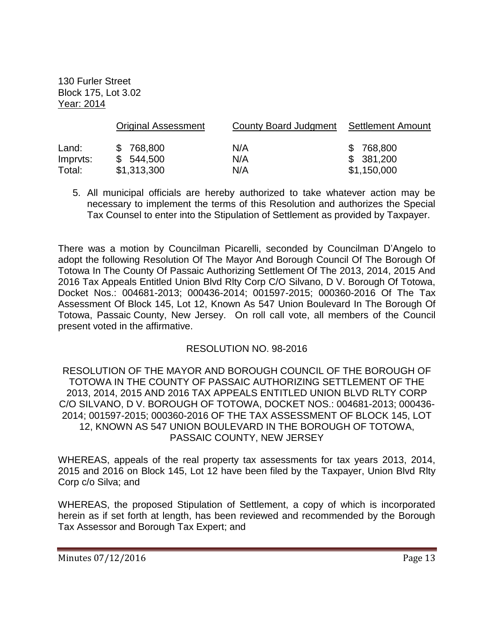130 Furler Street Block 175, Lot 3.02 Year: 2014

|          | <b>Original Assessment</b> | County Board Judgment | Settlement Amount |
|----------|----------------------------|-----------------------|-------------------|
| Land:    | \$768,800                  | N/A                   | \$768,800         |
| Impryts: | \$544,500                  | N/A                   | \$381,200         |
| Total:   | \$1,313,300                | N/A                   | \$1,150,000       |

5. All municipal officials are hereby authorized to take whatever action may be necessary to implement the terms of this Resolution and authorizes the Special Tax Counsel to enter into the Stipulation of Settlement as provided by Taxpayer.

There was a motion by Councilman Picarelli, seconded by Councilman D'Angelo to adopt the following Resolution Of The Mayor And Borough Council Of The Borough Of Totowa In The County Of Passaic Authorizing Settlement Of The 2013, 2014, 2015 And 2016 Tax Appeals Entitled Union Blvd Rlty Corp C/O Silvano, D V. Borough Of Totowa, Docket Nos.: 004681-2013; 000436-2014; 001597-2015; 000360-2016 Of The Tax Assessment Of Block 145, Lot 12, Known As 547 Union Boulevard In The Borough Of Totowa, Passaic County, New Jersey. On roll call vote, all members of the Council present voted in the affirmative.

# RESOLUTION NO. 98-2016

RESOLUTION OF THE MAYOR AND BOROUGH COUNCIL OF THE BOROUGH OF TOTOWA IN THE COUNTY OF PASSAIC AUTHORIZING SETTLEMENT OF THE 2013, 2014, 2015 AND 2016 TAX APPEALS ENTITLED UNION BLVD RLTY CORP C/O SILVANO, D V. BOROUGH OF TOTOWA, DOCKET NOS.: 004681-2013; 000436- 2014; 001597-2015; 000360-2016 OF THE TAX ASSESSMENT OF BLOCK 145, LOT 12, KNOWN AS 547 UNION BOULEVARD IN THE BOROUGH OF TOTOWA, PASSAIC COUNTY, NEW JERSEY

WHEREAS, appeals of the real property tax assessments for tax years 2013, 2014, 2015 and 2016 on Block 145, Lot 12 have been filed by the Taxpayer, Union Blvd Rlty Corp c/o Silva; and

WHEREAS, the proposed Stipulation of Settlement, a copy of which is incorporated herein as if set forth at length, has been reviewed and recommended by the Borough Tax Assessor and Borough Tax Expert; and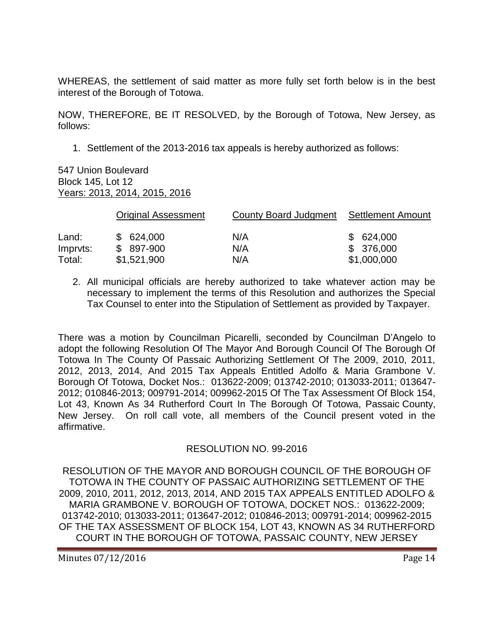WHEREAS, the settlement of said matter as more fully set forth below is in the best interest of the Borough of Totowa.

NOW, THEREFORE, BE IT RESOLVED, by the Borough of Totowa, New Jersey, as follows:

1. Settlement of the 2013-2016 tax appeals is hereby authorized as follows:

#### 547 Union Boulevard Block 145, Lot 12 Years: 2013, 2014, 2015, 2016

|                    | <b>Original Assessment</b> | County Board Judgment | Settlement Amount         |
|--------------------|----------------------------|-----------------------|---------------------------|
| Land:              | \$624,000                  | N/A                   | \$624,000                 |
| Impryts:<br>Total: | $$897-900$<br>\$1,521,900  | N/A<br>N/A            | \$ 376,000<br>\$1,000,000 |
|                    |                            |                       |                           |

2. All municipal officials are hereby authorized to take whatever action may be necessary to implement the terms of this Resolution and authorizes the Special Tax Counsel to enter into the Stipulation of Settlement as provided by Taxpayer.

There was a motion by Councilman Picarelli, seconded by Councilman D'Angelo to adopt the following Resolution Of The Mayor And Borough Council Of The Borough Of Totowa In The County Of Passaic Authorizing Settlement Of The 2009, 2010, 2011, 2012, 2013, 2014, And 2015 Tax Appeals Entitled Adolfo & Maria Grambone V. Borough Of Totowa, Docket Nos.: 013622-2009; 013742-2010; 013033-2011; 013647- 2012; 010846-2013; 009791-2014; 009962-2015 Of The Tax Assessment Of Block 154, Lot 43, Known As 34 Rutherford Court In The Borough Of Totowa, Passaic County, New Jersey. On roll call vote, all members of the Council present voted in the affirmative.

# RESOLUTION NO. 99-2016

RESOLUTION OF THE MAYOR AND BOROUGH COUNCIL OF THE BOROUGH OF TOTOWA IN THE COUNTY OF PASSAIC AUTHORIZING SETTLEMENT OF THE 2009, 2010, 2011, 2012, 2013, 2014, AND 2015 TAX APPEALS ENTITLED ADOLFO & MARIA GRAMBONE V. BOROUGH OF TOTOWA, DOCKET NOS.: 013622-2009; 013742-2010; 013033-2011; 013647-2012; 010846-2013; 009791-2014; 009962-2015 OF THE TAX ASSESSMENT OF BLOCK 154, LOT 43, KNOWN AS 34 RUTHERFORD COURT IN THE BOROUGH OF TOTOWA, PASSAIC COUNTY, NEW JERSEY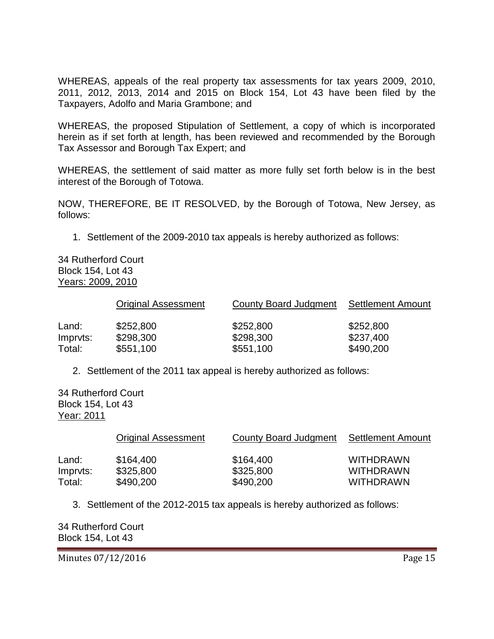WHEREAS, appeals of the real property tax assessments for tax years 2009, 2010, 2011, 2012, 2013, 2014 and 2015 on Block 154, Lot 43 have been filed by the Taxpayers, Adolfo and Maria Grambone; and

WHEREAS, the proposed Stipulation of Settlement, a copy of which is incorporated herein as if set forth at length, has been reviewed and recommended by the Borough Tax Assessor and Borough Tax Expert; and

WHEREAS, the settlement of said matter as more fully set forth below is in the best interest of the Borough of Totowa.

NOW, THEREFORE, BE IT RESOLVED, by the Borough of Totowa, New Jersey, as follows:

1. Settlement of the 2009-2010 tax appeals is hereby authorized as follows:

34 Rutherford Court Block 154, Lot 43 Years: 2009, 2010

|          | <b>Original Assessment</b> | County Board Judgment | <b>Settlement Amount</b> |
|----------|----------------------------|-----------------------|--------------------------|
| Land:    | \$252,800                  | \$252,800             | \$252,800                |
| Impryts: | \$298,300                  | \$298,300             | \$237,400                |
| Total:   | \$551,100                  | \$551,100             | \$490,200                |

2. Settlement of the 2011 tax appeal is hereby authorized as follows:

34 Rutherford Court Block 154, Lot 43 Year: 2011

|          | <b>Original Assessment</b> | County Board Judgment | Settlement Amount |
|----------|----------------------------|-----------------------|-------------------|
| Land:    | \$164,400                  | \$164,400             | <b>WITHDRAWN</b>  |
| Impryts: | \$325,800                  | \$325,800             | <b>WITHDRAWN</b>  |
| Total:   | \$490,200                  | \$490,200             | <b>WITHDRAWN</b>  |

3. Settlement of the 2012-2015 tax appeals is hereby authorized as follows:

34 Rutherford Court Block 154, Lot 43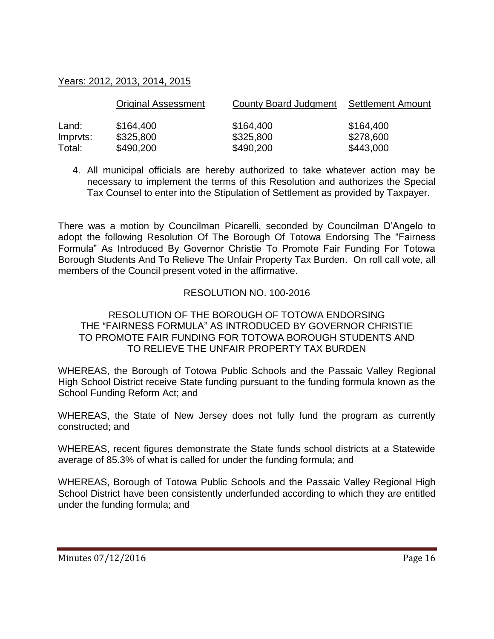### Years: 2012, 2013, 2014, 2015

|          | <b>Original Assessment</b> | County Board Judgment | <b>Settlement Amount</b> |
|----------|----------------------------|-----------------------|--------------------------|
| Land:    | \$164,400                  | \$164,400             | \$164,400                |
| Impryts: | \$325,800                  | \$325,800             | \$278,600                |
| Total:   | \$490,200                  | \$490,200             | \$443,000                |

4. All municipal officials are hereby authorized to take whatever action may be necessary to implement the terms of this Resolution and authorizes the Special Tax Counsel to enter into the Stipulation of Settlement as provided by Taxpayer.

There was a motion by Councilman Picarelli, seconded by Councilman D'Angelo to adopt the following Resolution Of The Borough Of Totowa Endorsing The "Fairness Formula" As Introduced By Governor Christie To Promote Fair Funding For Totowa Borough Students And To Relieve The Unfair Property Tax Burden. On roll call vote, all members of the Council present voted in the affirmative.

### RESOLUTION NO. 100-2016

#### RESOLUTION OF THE BOROUGH OF TOTOWA ENDORSING THE "FAIRNESS FORMULA" AS INTRODUCED BY GOVERNOR CHRISTIE TO PROMOTE FAIR FUNDING FOR TOTOWA BOROUGH STUDENTS AND TO RELIEVE THE UNFAIR PROPERTY TAX BURDEN

WHEREAS, the Borough of Totowa Public Schools and the Passaic Valley Regional High School District receive State funding pursuant to the funding formula known as the School Funding Reform Act; and

WHEREAS, the State of New Jersey does not fully fund the program as currently constructed; and

WHEREAS, recent figures demonstrate the State funds school districts at a Statewide average of 85.3% of what is called for under the funding formula; and

WHEREAS, Borough of Totowa Public Schools and the Passaic Valley Regional High School District have been consistently underfunded according to which they are entitled under the funding formula; and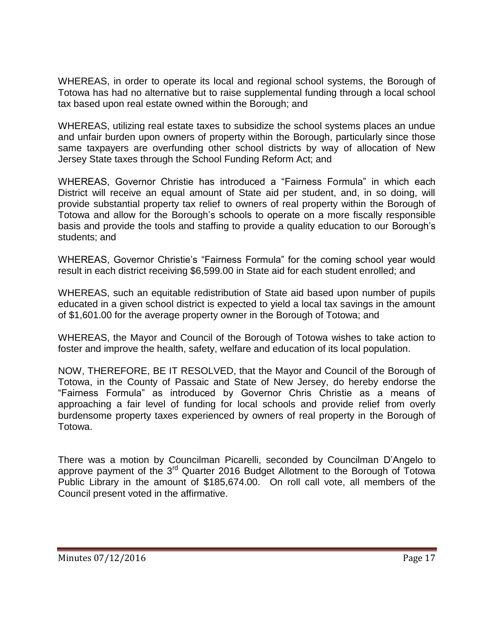WHEREAS, in order to operate its local and regional school systems, the Borough of Totowa has had no alternative but to raise supplemental funding through a local school tax based upon real estate owned within the Borough; and

WHEREAS, utilizing real estate taxes to subsidize the school systems places an undue and unfair burden upon owners of property within the Borough, particularly since those same taxpayers are overfunding other school districts by way of allocation of New Jersey State taxes through the School Funding Reform Act; and

WHEREAS, Governor Christie has introduced a "Fairness Formula" in which each District will receive an equal amount of State aid per student, and, in so doing, will provide substantial property tax relief to owners of real property within the Borough of Totowa and allow for the Borough's schools to operate on a more fiscally responsible basis and provide the tools and staffing to provide a quality education to our Borough's students; and

WHEREAS, Governor Christie's "Fairness Formula" for the coming school year would result in each district receiving \$6,599.00 in State aid for each student enrolled; and

WHEREAS, such an equitable redistribution of State aid based upon number of pupils educated in a given school district is expected to yield a local tax savings in the amount of \$1,601.00 for the average property owner in the Borough of Totowa; and

WHEREAS, the Mayor and Council of the Borough of Totowa wishes to take action to foster and improve the health, safety, welfare and education of its local population.

NOW, THEREFORE, BE IT RESOLVED, that the Mayor and Council of the Borough of Totowa, in the County of Passaic and State of New Jersey, do hereby endorse the "Fairness Formula" as introduced by Governor Chris Christie as a means of approaching a fair level of funding for local schools and provide relief from overly burdensome property taxes experienced by owners of real property in the Borough of Totowa.

There was a motion by Councilman Picarelli, seconded by Councilman D'Angelo to approve payment of the 3<sup>rd</sup> Quarter 2016 Budget Allotment to the Borough of Totowa Public Library in the amount of \$185,674.00. On roll call vote, all members of the Council present voted in the affirmative.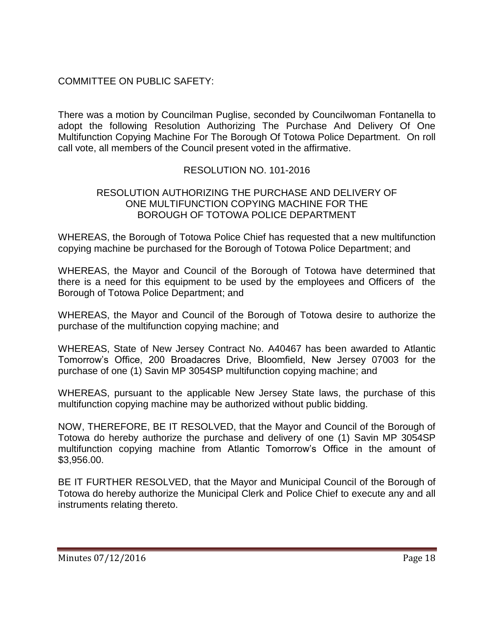# COMMITTEE ON PUBLIC SAFETY:

There was a motion by Councilman Puglise, seconded by Councilwoman Fontanella to adopt the following Resolution Authorizing The Purchase And Delivery Of One Multifunction Copying Machine For The Borough Of Totowa Police Department. On roll call vote, all members of the Council present voted in the affirmative.

# RESOLUTION NO. 101-2016

#### RESOLUTION AUTHORIZING THE PURCHASE AND DELIVERY OF ONE MULTIFUNCTION COPYING MACHINE FOR THE BOROUGH OF TOTOWA POLICE DEPARTMENT

WHEREAS, the Borough of Totowa Police Chief has requested that a new multifunction copying machine be purchased for the Borough of Totowa Police Department; and

WHEREAS, the Mayor and Council of the Borough of Totowa have determined that there is a need for this equipment to be used by the employees and Officers of the Borough of Totowa Police Department; and

WHEREAS, the Mayor and Council of the Borough of Totowa desire to authorize the purchase of the multifunction copying machine; and

WHEREAS, State of New Jersey Contract No. A40467 has been awarded to Atlantic Tomorrow's Office, 200 Broadacres Drive, Bloomfield, New Jersey 07003 for the purchase of one (1) Savin MP 3054SP multifunction copying machine; and

WHEREAS, pursuant to the applicable New Jersey State laws, the purchase of this multifunction copying machine may be authorized without public bidding.

NOW, THEREFORE, BE IT RESOLVED, that the Mayor and Council of the Borough of Totowa do hereby authorize the purchase and delivery of one (1) Savin MP 3054SP multifunction copying machine from Atlantic Tomorrow's Office in the amount of \$3,956.00.

BE IT FURTHER RESOLVED, that the Mayor and Municipal Council of the Borough of Totowa do hereby authorize the Municipal Clerk and Police Chief to execute any and all instruments relating thereto.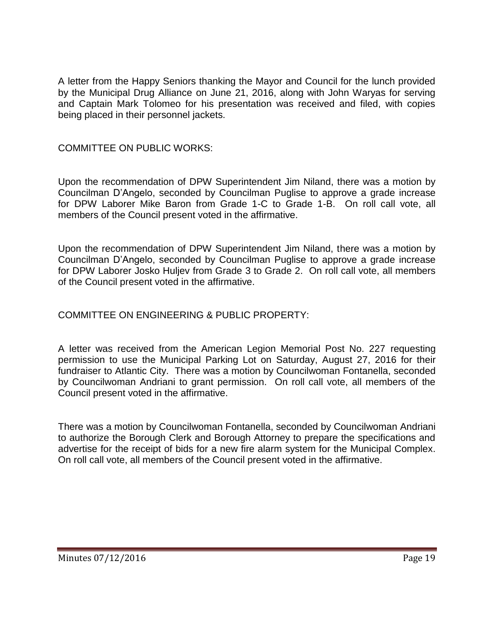A letter from the Happy Seniors thanking the Mayor and Council for the lunch provided by the Municipal Drug Alliance on June 21, 2016, along with John Waryas for serving and Captain Mark Tolomeo for his presentation was received and filed, with copies being placed in their personnel jackets.

# COMMITTEE ON PUBLIC WORKS:

Upon the recommendation of DPW Superintendent Jim Niland, there was a motion by Councilman D'Angelo, seconded by Councilman Puglise to approve a grade increase for DPW Laborer Mike Baron from Grade 1-C to Grade 1-B. On roll call vote, all members of the Council present voted in the affirmative.

Upon the recommendation of DPW Superintendent Jim Niland, there was a motion by Councilman D'Angelo, seconded by Councilman Puglise to approve a grade increase for DPW Laborer Josko Huljev from Grade 3 to Grade 2. On roll call vote, all members of the Council present voted in the affirmative.

# COMMITTEE ON ENGINEERING & PUBLIC PROPERTY:

A letter was received from the American Legion Memorial Post No. 227 requesting permission to use the Municipal Parking Lot on Saturday, August 27, 2016 for their fundraiser to Atlantic City. There was a motion by Councilwoman Fontanella, seconded by Councilwoman Andriani to grant permission. On roll call vote, all members of the Council present voted in the affirmative.

There was a motion by Councilwoman Fontanella, seconded by Councilwoman Andriani to authorize the Borough Clerk and Borough Attorney to prepare the specifications and advertise for the receipt of bids for a new fire alarm system for the Municipal Complex. On roll call vote, all members of the Council present voted in the affirmative.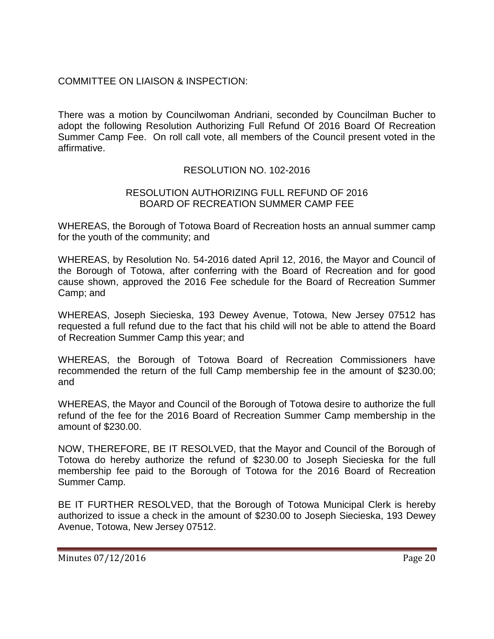# COMMITTEE ON LIAISON & INSPECTION:

There was a motion by Councilwoman Andriani, seconded by Councilman Bucher to adopt the following Resolution Authorizing Full Refund Of 2016 Board Of Recreation Summer Camp Fee. On roll call vote, all members of the Council present voted in the affirmative.

# RESOLUTION NO. 102-2016

#### RESOLUTION AUTHORIZING FULL REFUND OF 2016 BOARD OF RECREATION SUMMER CAMP FEE

WHEREAS, the Borough of Totowa Board of Recreation hosts an annual summer camp for the youth of the community; and

WHEREAS, by Resolution No. 54-2016 dated April 12, 2016, the Mayor and Council of the Borough of Totowa, after conferring with the Board of Recreation and for good cause shown, approved the 2016 Fee schedule for the Board of Recreation Summer Camp; and

WHEREAS, Joseph Siecieska, 193 Dewey Avenue, Totowa, New Jersey 07512 has requested a full refund due to the fact that his child will not be able to attend the Board of Recreation Summer Camp this year; and

WHEREAS, the Borough of Totowa Board of Recreation Commissioners have recommended the return of the full Camp membership fee in the amount of \$230.00; and

WHEREAS, the Mayor and Council of the Borough of Totowa desire to authorize the full refund of the fee for the 2016 Board of Recreation Summer Camp membership in the amount of \$230.00.

NOW, THEREFORE, BE IT RESOLVED, that the Mayor and Council of the Borough of Totowa do hereby authorize the refund of \$230.00 to Joseph Siecieska for the full membership fee paid to the Borough of Totowa for the 2016 Board of Recreation Summer Camp.

BE IT FURTHER RESOLVED, that the Borough of Totowa Municipal Clerk is hereby authorized to issue a check in the amount of \$230.00 to Joseph Siecieska, 193 Dewey Avenue, Totowa, New Jersey 07512.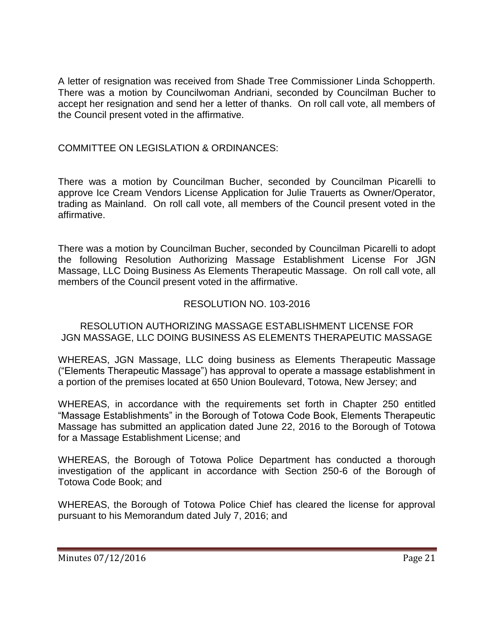A letter of resignation was received from Shade Tree Commissioner Linda Schopperth. There was a motion by Councilwoman Andriani, seconded by Councilman Bucher to accept her resignation and send her a letter of thanks. On roll call vote, all members of the Council present voted in the affirmative.

### COMMITTEE ON LEGISLATION & ORDINANCES:

There was a motion by Councilman Bucher, seconded by Councilman Picarelli to approve Ice Cream Vendors License Application for Julie Trauerts as Owner/Operator, trading as Mainland. On roll call vote, all members of the Council present voted in the affirmative.

There was a motion by Councilman Bucher, seconded by Councilman Picarelli to adopt the following Resolution Authorizing Massage Establishment License For JGN Massage, LLC Doing Business As Elements Therapeutic Massage. On roll call vote, all members of the Council present voted in the affirmative.

### RESOLUTION NO. 103-2016

RESOLUTION AUTHORIZING MASSAGE ESTABLISHMENT LICENSE FOR JGN MASSAGE, LLC DOING BUSINESS AS ELEMENTS THERAPEUTIC MASSAGE

WHEREAS, JGN Massage, LLC doing business as Elements Therapeutic Massage ("Elements Therapeutic Massage") has approval to operate a massage establishment in a portion of the premises located at 650 Union Boulevard, Totowa, New Jersey; and

WHEREAS, in accordance with the requirements set forth in Chapter 250 entitled "Massage Establishments" in the Borough of Totowa Code Book, Elements Therapeutic Massage has submitted an application dated June 22, 2016 to the Borough of Totowa for a Massage Establishment License; and

WHEREAS, the Borough of Totowa Police Department has conducted a thorough investigation of the applicant in accordance with Section 250-6 of the Borough of Totowa Code Book; and

WHEREAS, the Borough of Totowa Police Chief has cleared the license for approval pursuant to his Memorandum dated July 7, 2016; and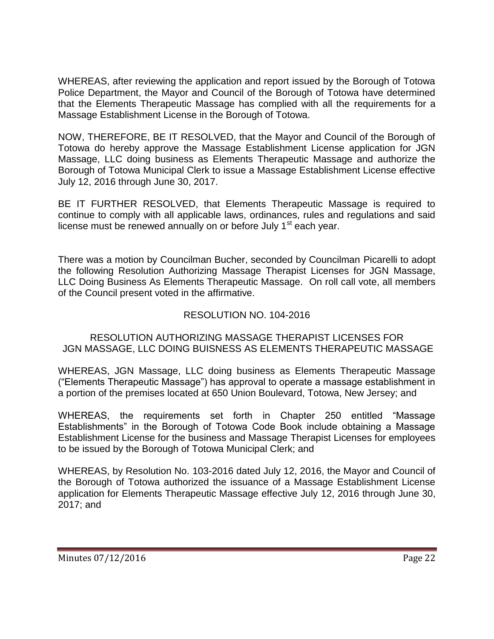WHEREAS, after reviewing the application and report issued by the Borough of Totowa Police Department, the Mayor and Council of the Borough of Totowa have determined that the Elements Therapeutic Massage has complied with all the requirements for a Massage Establishment License in the Borough of Totowa.

NOW, THEREFORE, BE IT RESOLVED, that the Mayor and Council of the Borough of Totowa do hereby approve the Massage Establishment License application for JGN Massage, LLC doing business as Elements Therapeutic Massage and authorize the Borough of Totowa Municipal Clerk to issue a Massage Establishment License effective July 12, 2016 through June 30, 2017.

BE IT FURTHER RESOLVED, that Elements Therapeutic Massage is required to continue to comply with all applicable laws, ordinances, rules and regulations and said license must be renewed annually on or before July 1<sup>st</sup> each year.

There was a motion by Councilman Bucher, seconded by Councilman Picarelli to adopt the following Resolution Authorizing Massage Therapist Licenses for JGN Massage, LLC Doing Business As Elements Therapeutic Massage. On roll call vote, all members of the Council present voted in the affirmative.

# RESOLUTION NO. 104-2016

# RESOLUTION AUTHORIZING MASSAGE THERAPIST LICENSES FOR JGN MASSAGE, LLC DOING BUISNESS AS ELEMENTS THERAPEUTIC MASSAGE

WHEREAS, JGN Massage, LLC doing business as Elements Therapeutic Massage ("Elements Therapeutic Massage") has approval to operate a massage establishment in a portion of the premises located at 650 Union Boulevard, Totowa, New Jersey; and

WHEREAS, the requirements set forth in Chapter 250 entitled "Massage Establishments" in the Borough of Totowa Code Book include obtaining a Massage Establishment License for the business and Massage Therapist Licenses for employees to be issued by the Borough of Totowa Municipal Clerk; and

WHEREAS, by Resolution No. 103-2016 dated July 12, 2016, the Mayor and Council of the Borough of Totowa authorized the issuance of a Massage Establishment License application for Elements Therapeutic Massage effective July 12, 2016 through June 30, 2017; and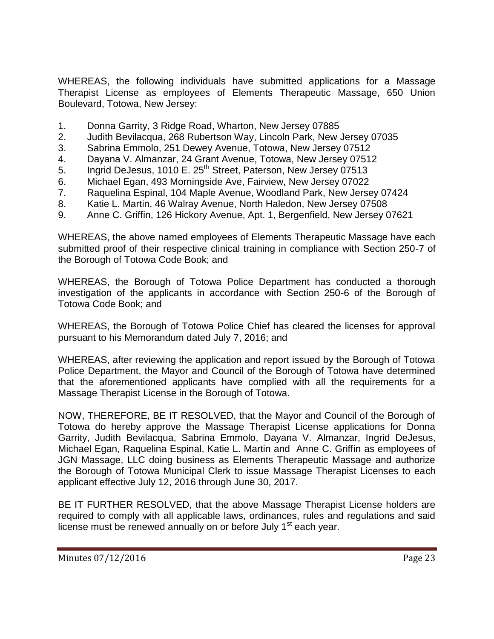WHEREAS, the following individuals have submitted applications for a Massage Therapist License as employees of Elements Therapeutic Massage, 650 Union Boulevard, Totowa, New Jersey:

- 1. Donna Garrity, 3 Ridge Road, Wharton, New Jersey 07885
- 2. Judith Bevilacqua, 268 Rubertson Way, Lincoln Park, New Jersey 07035
- 3. Sabrina Emmolo, 251 Dewey Avenue, Totowa, New Jersey 07512
- 4. Dayana V. Almanzar, 24 Grant Avenue, Totowa, New Jersey 07512
- 5. Ingrid DeJesus, 1010 E. 25<sup>th</sup> Street, Paterson, New Jersey 07513
- 6. Michael Egan, 493 Morningside Ave, Fairview, New Jersey 07022
- 7. Raquelina Espinal, 104 Maple Avenue, Woodland Park, New Jersey 07424
- 8. Katie L. Martin, 46 Walray Avenue, North Haledon, New Jersey 07508
- 9. Anne C. Griffin, 126 Hickory Avenue, Apt. 1, Bergenfield, New Jersey 07621

WHEREAS, the above named employees of Elements Therapeutic Massage have each submitted proof of their respective clinical training in compliance with Section 250-7 of the Borough of Totowa Code Book; and

WHEREAS, the Borough of Totowa Police Department has conducted a thorough investigation of the applicants in accordance with Section 250-6 of the Borough of Totowa Code Book; and

WHEREAS, the Borough of Totowa Police Chief has cleared the licenses for approval pursuant to his Memorandum dated July 7, 2016; and

WHEREAS, after reviewing the application and report issued by the Borough of Totowa Police Department, the Mayor and Council of the Borough of Totowa have determined that the aforementioned applicants have complied with all the requirements for a Massage Therapist License in the Borough of Totowa.

NOW, THEREFORE, BE IT RESOLVED, that the Mayor and Council of the Borough of Totowa do hereby approve the Massage Therapist License applications for Donna Garrity, Judith Bevilacqua, Sabrina Emmolo, Dayana V. Almanzar, Ingrid DeJesus, Michael Egan, Raquelina Espinal, Katie L. Martin and Anne C. Griffin as employees of JGN Massage, LLC doing business as Elements Therapeutic Massage and authorize the Borough of Totowa Municipal Clerk to issue Massage Therapist Licenses to each applicant effective July 12, 2016 through June 30, 2017.

BE IT FURTHER RESOLVED, that the above Massage Therapist License holders are required to comply with all applicable laws, ordinances, rules and regulations and said license must be renewed annually on or before July  $1<sup>st</sup>$  each year.